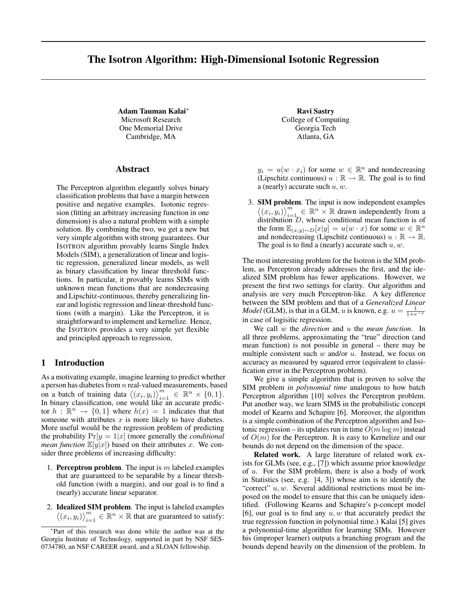# The Isotron Algorithm: High-Dimensional Isotonic Regression

Adam Tauman Kalai<sup>∗</sup> Microsoft Research One Memorial Drive Cambridge, MA

#### Abstract

The Perceptron algorithm elegantly solves binary classification problems that have a margin between positive and negative examples. Isotonic regression (fitting an arbitrary increasing function in one dimension) is also a natural problem with a simple solution. By combining the two, we get a new but very simple algorithm with strong guarantees. Our ISOTRON algorithm provably learns Single Index Models (SIM), a generalization of linear and logistic regression, generalized linear models, as well as binary classification by linear threshold functions. In particular, it provably learns SIMs with unknown mean functions that are nondecreasing and Lipschitz-continuous, thereby generalizing linear and logistic regression and linear-threshold functions (with a margin). Like the Perceptron, it is straightforward to implement and kernelize. Hence, the ISOTRON provides a very simple yet flexible and principled approach to regression.

# 1 Introduction

As a motivating example, imagine learning to predict whether a person has diabetes from  $n$  real-valued measurements, based on a batch of training data  $\langle (x_i, y_i) \rangle_{i=1}^m \in \mathbb{R}^n \times \{0, 1\}.$ In binary classification, one would like an accurate predictor  $h : \mathbb{R}^n \to \{0,1\}$  where  $h(x) = 1$  indicates that that someone with attributes  $x$  is more likely to have diabetes. More useful would be the regression problem of predicting the probability  $Pr[y = 1|x]$  (more generally the *conditional mean function*  $\mathbb{E}[y|x]$  based on their attributes x. We consider three problems of increasing difficulty:

- 1. Perceptron problem. The input is  $m$  labeled examples that are guaranteed to be separable by a linear threshold function (with a margin), and our goal is to find a (nearly) accurate linear separator.
- 2. Idealized SIM problem. The input is labeled examples  $\langle (x_i, y_i) \rangle_{i=1}^m \in \mathbb{R}^n \times \mathbb{R}$  that are guaranteed to satisfy:

Ravi Sastry College of Computing Georgia Tech Atlanta, GA

 $y_i = u(w \cdot x_i)$  for some  $w \in \mathbb{R}^n$  and nondecreasing (Lipschitz continuous)  $u : \mathbb{R} \to \mathbb{R}$ . The goal is to find a (nearly) accurate such  $u, w$ .

3. SIM problem. The input is now independent examples  $\langle (x_i, y_i) \rangle_{i=1}^m \in \mathbb{R}^n \times \mathbb{R}$  drawn independently from a distribution  $D$ , whose conditional mean function is of the form  $\mathbb{E}_{(x,y)\sim D}[x|y] = u(w \cdot x)$  for some  $w \in \mathbb{R}^n$ and nondecreasing (Lipschitz continuous)  $u : \mathbb{R} \to \mathbb{R}$ . The goal is to find a (nearly) accurate such  $u, w$ .

The most interesting problem for the Isotron is the SIM problem, as Perceptron already addresses the first, and the idealized SIM problem has fewer applications. However, we present the first two settings for clarity. Our algorithm and analysis are very much Perceptron-like. A key difference between the SIM problem and that of a *Generalized Linear Model* (GLM), is that in a GLM, u is known, e.g.  $u = \frac{1}{1+e^{-x}}$ in case of logisitic regression.

We call w the *direction* and u the *mean function*. In all three problems, approximating the "true" direction (and mean function) is not possible in general – there may be multiple consistent such  $w$  and/or  $u$ . Instead, we focus on accuracy as measured by squared error (equivalent to classification error in the Perceptron problem).

We give a simple algorithm that is proven to solve the SIM problem *in polynomial time* analogous to how batch Perceptron algorithm [10] solves the Perceptron problem. Put another way, we learn SIMS in the probabilistic concept model of Kearns and Schapire [6]. Moreover, the algorithm is a simple combination of the Perceptron algorithm and Isotonic regression – its updates run in time  $O(m \log m)$  instead of  $O(m)$  for the Perceptron. It is easy to Kernelize and our bounds do not depend on the dimension of the space.

Related work. A large literature of related work exists for GLMs (see, e.g., [7]) which assume prior knowledge of u. For the SIM problem, there is also a body of work in Statistics (see, e.g. [4, 3]) whose aim is to identify the "correct"  $u, w$ . Several additional restrictions must be imposed on the model to ensure that this can be uniquely identified. (Following Kearns and Schapire's p-concept model [6], our goal is to find any  $u, w$  that accurately predict the true regression function in polynomial time.) Kalai [5] gives a polynomial-time algorithm for learning SIMs. However his (improper learner) outputs a branching program and the bounds depend heavily on the dimension of the problem. In

<sup>∗</sup> Part of this research was done while the author was at the Georgia Institute of Technology, supported in part by NSF SES-0734780, an NSF CAREER award, and a SLOAN fellowship.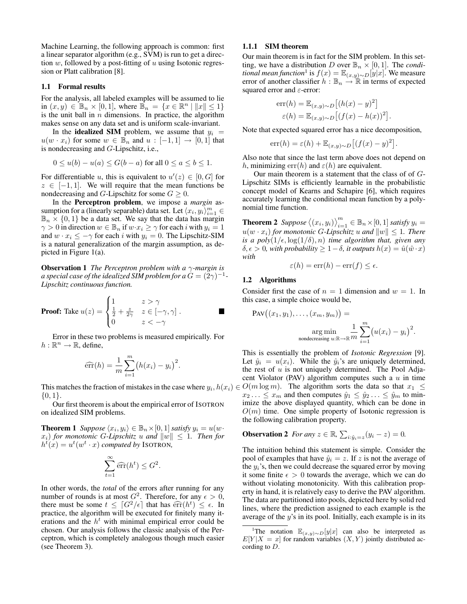Machine Learning, the following approach is common: first a linear separator algorithm (e.g., SVM) is run to get a direction  $w$ , followed by a post-fitting of  $u$  using Isotonic regression or Platt calibration [8].

#### 1.1 Formal results

For the analysis, all labeled examples will be assumed to lie in  $(x, y) \in \mathbb{B}_n \times [0, 1]$ , where  $\mathbb{B}_n = \{x \in \mathbb{R}^n \mid ||x|| \le 1\}$ is the unit ball in  $n$  dimensions. In practice, the algorithm makes sense on any data set and is uniform scale-invariant.

In the **idealized SIM** problem, we assume that  $y_i =$  $u(w \cdot x_i)$  for some  $w \in \mathbb{B}_n$  and  $u : [-1,1] \to [0,1]$  that is nondecreasing and G-Lipschitz, i.e.,

$$
0 \le u(b) - u(a) \le G(b - a) \text{ for all } 0 \le a \le b \le 1.
$$

For differentiable u, this is equivalent to  $u'(z) \in [0, G]$  for  $z \in [-1, 1]$ . We will require that the mean functions be nondecreasing and G-Lipschitz for some  $G \geq 0$ .

In the Perceptron problem, we impose a *margin* assumption for a (linearly separable) data set. Let  $\langle x_i, y_i \rangle_{i=1}^m \in$  $\mathbb{B}_n \times \{0,1\}$  be a data set. We say that the data has margin  $\gamma > 0$  in direction  $w \in \mathbb{B}_n$  if  $w \cdot x_i \geq \gamma$  for each i with  $y_i = 1$ and  $w \cdot x_i \leq -\gamma$  for each i with  $y_i = 0$ . The Lipschitz-SIM is a natural generalization of the margin assumption, as depicted in Figure 1(a).

Observation 1 *The Perceptron problem with a* γ*-margin is* a special case of the idealized SIM problem for a  $G=(\v{2}\gamma)^{-1}$  -*Lipschitz continuous function.*

**Proof:** Take 
$$
u(z) = \begin{cases} 1 & z > \gamma \\ \frac{1}{2} + \frac{z}{2\gamma} & z \in [-\gamma, \gamma] \\ 0 & z < -\gamma \end{cases}
$$
.

Error in these two problems is measured empirically. For  $h: \mathbb{R}^n \to \mathbb{R}$ , define,

$$
\widehat{\text{err}}(h) = \frac{1}{m} \sum_{i=1}^{m} (h(x_i) - y_i)^2.
$$

 $\{0,1\}.$ 

Our first theorem is about the empirical error of ISOTRON on idealized SIM problems.

**Theorem 1** *Suppose*  $\langle x_i, y_i \rangle \in \mathbb{B}_n \times [0, 1]$  *satisfy*  $y_i = u(w \cdot$  $x_i$ ) for monotonic G-Lipschitz u and  $||w|| \leq 1$ . Then for  $h^{t}(x) = u^{t}(w^{t} \cdot x)$  *computed by* ISOTRON,

$$
\sum_{t=1}^{\infty} \widehat{\text{err}}(h^t) \leq G^2.
$$

In other words, the *total* of the errors after running for any number of rounds is at most  $G^2$ . Therefore, for any  $\epsilon > 0$ , there must be some  $t \leq \lceil G^2/\epsilon \rceil$  that has  $\widehat{err}(h^t) \leq \epsilon$ . In practice the algorithm will be executed for finitely many itpractice, the algorithm will be executed for finitely many iterations and the  $h<sup>t</sup>$  with minimal empirical error could be chosen. Our analysis follows the classic analysis of the Perceptron, which is completely analogous though much easier (see Theorem 3).

#### 1.1.1 SIM theorem

Our main theorem is in fact for the SIM problem. In this setting, we have a distribution *D* over  $\mathbb{B}_n \times [0,1]$ . The *conditional mean function*<sup>1</sup> is  $f(x) = \mathbb{E}_{(x,y)\sim D}[y|x]$ . We measure error of another classifier  $h : \mathbb{B}_n \to \mathbb{R}$  in terms of expected squared error and  $\varepsilon$ -error:

$$
err(h) = \mathbb{E}_{(x,y)\sim D} [(h(x) - y)^2]
$$

$$
\varepsilon(h) = \mathbb{E}_{(x,y)\sim D} [(f(x) - h(x))^2].
$$

Note that expected squared error has a nice decomposition,

$$
err(h) = \varepsilon(h) + \mathbb{E}_{(x,y)\sim D} \left[ (f(x) - y)^2 \right].
$$

Also note that since the last term above does not depend on h, minimizing err(h) and  $\varepsilon(h)$  are equivalent.

Our main theorem is a statement that the class of of G-Lipschitz SIMs is efficiently learnable in the probabilistic concept model of Kearns and Schapire [6], which requires accurately learning the conditional mean function by a polynomial time function.

**Theorem 2** Suppose  $\langle (x_i, y_i) \rangle_{i=1}^m \in \mathbb{B}_n \times [0, 1]$  satisfy  $y_i =$  $u(w \cdot x_i)$  *for monotonic G-Lipschitz* u and  $||w|| \leq 1$ *. There is a poly* $(1/\epsilon, \log(1/\delta), n)$  *time algorithm that, given any*  $\delta, \epsilon > 0$ , with probability  $\geq 1 - \delta$ , it outputs  $h(x) = \hat{u}(\hat{w} \cdot x)$ *with*

$$
\varepsilon(h) = \operatorname{err}(h) - \operatorname{err}(f) \le \epsilon.
$$

### 1.2 Algorithms

Consider first the case of  $n = 1$  dimension and  $w = 1$ . In this case, a simple choice would be,

$$
PAV((x_1, y_1), \dots, (x_m, y_m)) = \underset{\text{nondecreasing } u:\mathbb{R}\to\mathbb{R}^m}{\arg \min} \frac{1}{m} \sum_{i=1}^m (u(x_i) - y_i)^2.
$$

This matches the fraction of mistakes in the case where  $y_i, h(x_i) \in O(m \log m)$ . The algorithm sorts the data so that  $x_1 \leq$ This is essentially the problem of *Isotonic Regression* [9]. Let  $\hat{y}_i = u(x_i)$ . While the  $\hat{y}_i$ 's are uniquely determined, the rest of  $u$  is not uniquely determined. The Pool Adjacent Violator (PAV) algorithm computes such a  $u$  in time  $x_2 \ldots \leq x_m$  and then computes  $\hat{y}_1 \leq \hat{y}_2 \ldots \leq \hat{y}_m$  to minimize the above displayed quantity, which can be done in  $O(m)$  time. One simple property of Isotonic regression is the following calibration property.

**Observation 2** For any 
$$
z \in \mathbb{R}
$$
,  $\sum_{i:\hat{y}_i=z}(y_i-z)=0$ .

The intuition behind this statement is simple. Consider the pool of examples that have  $\hat{y}_i = z$ . If z is not the average of the  $y_i$ 's, then we could decrease the squared error by moving it some finite  $\epsilon > 0$  towards the average, which we can do without violating monotonicity. With this calibration property in hand, it is relatively easy to derive the PAV algorithm. The data are partitioned into pools, depicted here by solid red lines, where the prediction assigned to each example is the average of the  $y$ 's in its pool. Initially, each example is in its

<sup>&</sup>lt;sup>1</sup>The notation  $\mathbb{E}_{(x,y)\sim D}[y|x]$  can also be interpreted as  $E[Y|X = x]$  for random variables  $(X, Y)$  jointly distributed according to D.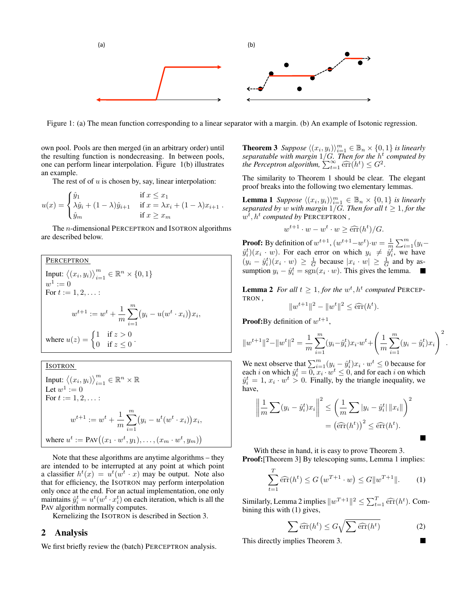

Figure 1: (a) The mean function corresponding to a linear separator with a margin. (b) An example of Isotonic regression.

own pool. Pools are then merged (in an arbitrary order) until the resulting function is nondecreasing. In between pools, one can perform linear interpolation. Figure 1(b) illustrates an example.

The rest of of  $u$  is chosen by, say, linear interpolation:

$$
u(x) = \begin{cases} \hat{y}_1 & \text{if } x \leq x_1 \\ \lambda \hat{y}_i + (1 - \lambda)\hat{y}_{i+1} & \text{if } x = \lambda x_i + (1 - \lambda)x_{i+1} \\ \hat{y}_m & \text{if } x \geq x_m \end{cases}
$$

The *n*-dimensional PERCEPTRON and ISOTRON algorithms are described below.

**PERCEPTRON**  
\nInput: 
$$
\langle (x_i, y_i) \rangle_{i=1}^m \in \mathbb{R}^n \times \{0, 1\}
$$
  
\n $w^1 := 0$   
\nFor  $t := 1, 2, ...$   
\n $w^{t+1} := w^t + \frac{1}{m} \sum_{i=1}^m (y_i - u(w^t \cdot x_i)) x_i$ ,  
\nwhere  $u(z) = \begin{cases} 1 & \text{if } z > 0 \\ 0 & \text{if } z \le 0 \end{cases}$ .

**IsOTRON**

\nInput: 
$$
\langle (x_i, y_i) \rangle_{i=1}^m \in \mathbb{R}^n \times \mathbb{R}
$$

\nLet  $w^1 := 0$ 

\nFor  $t := 1, 2, \ldots$ :

\n
$$
w^{t+1} := w^t + \frac{1}{m} \sum_{i=1}^m (y_i - u^t(w^t \cdot x_i)) x_i,
$$
\nwhere  $u^t := \text{PAV}((x_1 \cdot w^t, y_1), \ldots, (x_m \cdot w^t, y_m))$ 

Note that these algorithms are anytime algorithms – they are intended to be interrupted at any point at which point a classifier  $h^t(x) = u^t(w^t \cdot x)$  may be output. Note also that for efficiency, the ISOTRON may perform interpolation only once at the end. For an actual implementation, one only maintains  $\hat{y}_i^t = u^t(w^t \cdot x_i^t)$  on each iteration, which is all the PAV algorithm normally computes.

Kernelizing the ISOTRON is described in Section 3.

#### 2 Analysis

We first briefly review the (batch) PERCEPTRON analysis.

**Theorem 3** Suppose  $\langle (x_i, y_i) \rangle_{i=1}^m \in \mathbb{B}_n \times \{0, 1\}$  is linearly *separatable with margin* 1/G*. Then for the* h t *computed by the Perceptron algorithm*,  $\sum_{t=1}^{\infty} \widehat{\text{err}}(h^t) \leq G^2$ .

The similarity to Theorem 1 should be clear. The elegant proof breaks into the following two elementary lemmas.

**Lemma 1** Suppose  $\langle (x_i, y_i) \rangle_{i=1}^m \in \mathbb{B}_n \times \{0, 1\}$  is linearly *separated by w with margin*  $1/G$ *. Then for all*  $t \geq 1,$  *for the*  $w^{\overline{t}}$ *,*  $h^t$  *computed by PERCEPTRON*,

$$
w^{t+1} \cdot w - w^t \cdot w \geq \widehat{\text{err}}(h^t) / G.
$$

**Proof:** By definition of  $w^{t+1}$ ,  $(w^{t+1}-w^{t}) \cdot w = \frac{1}{m} \sum_{i=1}^{m} (y_i - w^{t}) \cdot w$  $\hat{y}_i^t$  $(x_i \cdot w)$ . For each error on which  $y_i \neq \hat{y}_i^t$ , we have  $(y_i - \hat{y}_i^t)(x_i \cdot w) \ge \frac{1}{G}$  because  $|x_i \cdot w| \ge \frac{1}{G}$  and by assumption  $y_i - \hat{y}_i^t = \text{sgn}(x_i \cdot w)$ . This gives the lemma.

**Lemma 2** For all  $t \geq 1$ , for the  $w^t$ ,  $h^t$  computed PERCEP-TRON *,*

$$
||w^{t+1}||^2 - ||w^t||^2 \le \widehat{\text{err}}(h^t).
$$

**Proof:**By definition of  $w^{t+1}$ ,

$$
||w^{t+1}||^2 - ||w^t||^2 = \frac{1}{m} \sum_{i=1}^m (y_i - \hat{y}_i^t) x_i \cdot w^t + \left(\frac{1}{m} \sum_{i=1}^m (y_i - \hat{y}_i^t) x_i\right)^2.
$$

We next observe that  $\sum_{i=1}^{m} (y_i - \hat{y}_i^t) x_i \cdot w^t \leq 0$  because for each *i* on which  $\hat{y}_i^t = \overline{0, x_i \cdot w^t} \leq 0$ , and for each *i* on which  $\hat{y}_i^t = 1, x_i \cdot w^t > 0$ . Finally, by the triangle inequality, we have,

$$
\left\| \frac{1}{m} \sum (y_i - \hat{y}_i^t) x_i \right\|^2 \le \left( \frac{1}{m} \sum |y_i - \hat{y}_i^t| \|x_i\| \right)^2
$$

$$
= \left( \widehat{\text{err}}(h^t) \right)^2 \le \widehat{\text{err}}(h^t).
$$

With these in hand, it is easy to prove Theorem 3. **Proof:**[Theorem 3] By telescoping sums, Lemma 1 implies:

$$
\sum_{t=1}^{T} \widehat{\text{err}}(h^t) \le G\left(w^{T+1} \cdot w\right) \le G \|w^{T+1}\|.
$$
 (1)

Similarly, Lemma 2 implies  $||w^{T+1}||^2 \le \sum_{t=1}^T \widehat{\text{err}}(h^t)$ . Combining this with (1) gives bining this with (1) gives,

$$
\sum \widehat{\text{err}}(h^t) \le G \sqrt{\sum \widehat{\text{err}}(h^t)}
$$
 (2)

This directly implies Theorem 3.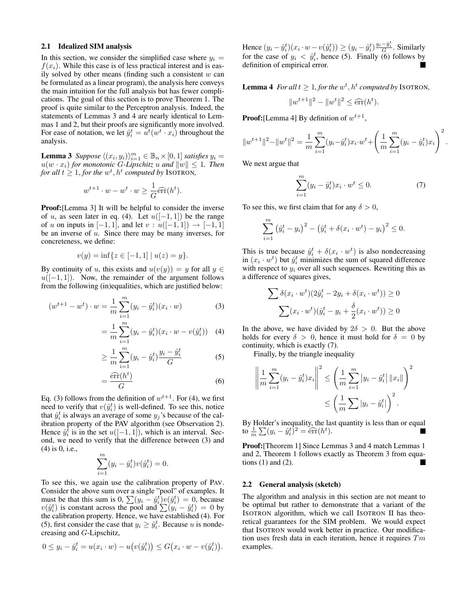#### 2.1 Idealized SIM analysis

In this section, we consider the simplified case where  $y_i =$  $f(x_i)$ . While this case is of less practical interest and is easily solved by other means (finding such a consistent  $w$  can be formulated as a linear program), the analysis here conveys the main intuition for the full analysis but has fewer complications. The goal of this section is to prove Theorem 1. The proof is quite similar to the Perceptron analysis. Indeed, the statements of Lemmas 3 and 4 are nearly identical to Lemmas 1 and 2, but their proofs are significantly more involved. For ease of notation, we let  $\hat{y}_i^t = u^t(w^t \cdot x_i)$  throughout the analysis.

**Lemma 3** Suppose  $\langle (x_i, y_i) \rangle_{i=1}^m \in \mathbb{B}_n \times [0, 1]$  satisfies  $y_i =$  $u(w \cdot x_i)$  *for monotonic G-Lipschitz* u and  $||w|| \leq 1$ *. Then for all*  $t \geq 1$ *, for the*  $w^t$ *,*  $h^t$  *computed by* ISOTRON*,* 

$$
w^{t+1} \cdot w - w^t \cdot w \ge \frac{1}{G} \widehat{\text{err}}(h^t).
$$

Proof:[Lemma 3] It will be helpful to consider the inverse of u, as seen later in eq. (4). Let  $u([-1, 1])$  be the range of *u* on inputs in [−1, 1], and let  $v : u([-1, 1]) \rightarrow [-1, 1]$ be an inverse of u. Since there may be many inverses, for concreteness, we define:

$$
v(y) = \inf\{z \in [-1, 1] \mid u(z) = y\}.
$$

By continuity of u, this exists and  $u(v(y)) = y$  for all  $y \in$  $u([-1, 1])$ . Now, the remainder of the argument follows from the following (in)equalities, which are justified below:

$$
(w^{t+1} - w^t) \cdot w = \frac{1}{m} \sum_{i=1}^{m} (y_i - \hat{y}_i^t)(x_i \cdot w)
$$
 (3)

$$
= \frac{1}{m} \sum_{i=1}^{m} (y_i - \hat{y}_i^t)(x_i \cdot w - v(\hat{y}_i^t)) \quad (4)
$$

$$
\geq \frac{1}{m} \sum_{i=1}^{m} (y_i - \hat{y}_i^t) \frac{y_i - \hat{y}_i^t}{G} \tag{5}
$$

$$
=\frac{\widehat{\text{err}}(h^t)}{G} \tag{6}
$$

Eq. (3) follows from the definition of  $w^{t+1}$ . For (4), we first need to verify that  $v(\hat{y}_i^t)$  is well-defined. To see this, notice that  $\hat{y}_i^t$  is always an average of some  $y_j$ 's because of the calibration property of the PAV algorithm (see Observation 2). Hence  $\hat{y}_i^{\bar{t}}$  is in the set  $u([-1, 1])$ , which is an interval. Second, we need to verify that the difference between (3) and (4) is 0, i.e.,

$$
\sum_{i=1}^{m} (y_i - \hat{y}_i^t) v(\hat{y}_i^t) = 0.
$$

To see this, we again use the calibration property of PAV. Consider the above sum over a single "pool" of examples. It must be that this sum is 0,  $\sum(y_i - \hat{y}_i^t)v(\hat{y}_i^t) = 0$ , because  $v(\hat{y}_i^t)$  is constant across the pool and  $\sum_{i=1}^{n} (y_i - \hat{y}_i^t) = 0$  by the calibration property. Hence, we have established (4). For (5), first consider the case that  $y_i \geq \hat{y}_i^t$ . Because u is nondecreasing and G-Lipschitz,

$$
0 \le y_i - \hat{y}_i^t = u(x_i \cdot w) - u(v(\hat{y}_i^t)) \le G(x_i \cdot w - v(\hat{y}_i^t)).
$$

Hence  $(y_i - \hat{y}_i^t)(x_i \cdot w - v(\hat{y}_i^t)) \ge (y_i - \hat{y}_i^t) \frac{y_i - \hat{y}_i^t}{G}$ . Similarly for the case of  $y_i < \hat{y}_i^t$ , hence (5). Finally (6) follows by definition of empirical error.

**Lemma 4** For all  $t \geq 1$ , for the  $w^t$ ,  $h^t$  computed by ISOTRON,

$$
||w^{t+1}||^2 - ||w^t||^2 \le \widehat{\text{err}}(h^t).
$$

**Proof:** [Lemma 4] By definition of  $w^{t+1}$ ,

$$
||w^{t+1}||^2 - ||w^t||^2 = \frac{1}{m} \sum_{i=1}^m (y_i - \hat{y}_i^t) x_i \cdot w^t + \left(\frac{1}{m} \sum_{i=1}^m (y_i - \hat{y}_i^t) x_i\right)^2.
$$

We next argue that

$$
\sum_{i=1}^{m} (y_i - \hat{y}_i^t) x_i \cdot w^t \le 0.
$$
 (7)

To see this, we first claim that for any  $\delta > 0$ ,

$$
\sum_{i=1}^{m} ( \hat{y}_{i}^{t} - y_{i} )^{2} - ( \hat{y}_{i}^{t} + \delta ( x_{i} \cdot w^{t} ) - y_{i} )^{2} \leq 0.
$$

This is true because  $\hat{y}_i^t + \delta(x_i \cdot w^t)$  is also nondecreasing in  $(x_i \cdot w^t)$  but  $\hat{y}_i^t$  minimizes the sum of squared difference with respect to  $y_i$  over all such sequences. Rewriting this as a difference of squares gives,

$$
\sum \delta(x_i \cdot w^t)(2\hat{y}_i^t - 2y_i + \delta(x_i \cdot w^t)) \ge 0
$$

$$
\sum (x_i \cdot w^t)(\hat{y}_i^t - y_i + \frac{\delta}{2}(x_i \cdot w^t)) \ge 0
$$

In the above, we have divided by  $2\delta > 0$ . But the above holds for every  $\delta > 0$ , hence it must hold for  $\delta = 0$  by continuity, which is exactly (7).

Finally, by the triangle inequality

$$
\left\| \frac{1}{m} \sum_{i=1}^{m} (y_i - \hat{y}_i^t) x_i \right\|^2 \le \left( \frac{1}{m} \sum_{i=1}^{m} |y_i - \hat{y}_i^t| \|x_i\| \right)^2
$$
  

$$
\le \left( \frac{1}{m} \sum |y_i - \hat{y}_i^t| \right)^2.
$$

By Holder's inequality, the last quantity is less than or equal to  $\frac{1}{m}\sum(y_i - \hat{y}_i^t)^2 = \widehat{\text{err}}(h^t)$ .

Proof:[Theorem 1] Since Lemmas 3 and 4 match Lemmas 1 and 2, Theorem 1 follows exactly as Theorem 3 from equations  $(1)$  and  $(2)$ .

#### 2.2 General analysis (sketch)

The algorithm and analysis in this section are not meant to be optimal but rather to demonstrate that a variant of the ISOTRON algorithm, which we call ISOTRON II has theoretical guarantees for the SIM problem. We would expect that ISOTRON would work better in practice. Our modification uses fresh data in each iteration, hence it requires  $Tm$ examples.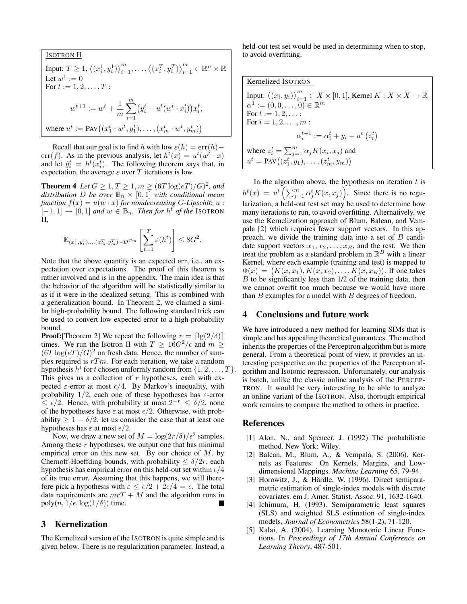ISOTRON II Input:  $T \geq 1, \langle (x_i^1, y_i^1) \rangle_{i=1}^m, \dots, \langle (x_i^T, y_i^T) \rangle_{i=1}^m \in \mathbb{R}^n \times \mathbb{R}$ Let  $w^1 := 0$ For  $t := 1, 2, ..., T$ :  $w^{t+1} := w^t + \frac{1}{t}$ m  $\sum_{ }^{\infty}$  $i=1$  $(y_i^t - u^t(w^t \cdot x_i^t)) x_i^t,$ where  $u^t := \text{PAV}((x_1^t \cdot w^t, y_1^t), \dots, (x_m^t \cdot w^t, y_m^t))$ 

Recall that our goal is to find h with low  $\varepsilon(h) = \text{err}(h)$ err(f). As in the previous analysis, let  $h^t(x) = u^t(w^t \cdot x)$ and let  $\hat{y}_i^t = h^t(\bar{x}_i^t)$ . The following theorem says that, in expectation, the average  $\varepsilon$  over T iterations is low.

**Theorem 4** Let  $G \ge 1, T \ge 1, m \ge (6T \log(eT)/G)^2$ , and *distribution* D *be over*  $\mathbb{B}_n \times [0,1]$  *with conditional mean function*  $f(x) = u(w \cdot x)$  *for nondecreasing G*-Lipschitz  $u$ :  $[-1, 1]$  →  $[0, 1]$  *and*  $w \in \mathbb{B}_n$ . *Then for*  $h^t$  *of the* ISOTRON II*,*

$$
\mathbb{E}_{(x_1^1, y_1^1), \dots, (x_m^T, y_m^T) \sim D^{T_m}} \left[ \sum_{t=1}^T \varepsilon(h^t) \right] \leq 8G^2.
$$

Note that the above quantity is an expected err, i.e., an expectation over expectations. The proof of this theorem is rather involved and is in the appendix. The main idea is that the behavior of the algorithm will be statistically similar to as if it were in the idealized setting. This is combined with a generalization bound. In Theorem 2, we claimed a similar high-probability bound. The following standard trick can be used to convert low expected error to a high-probability bound.

**Proof:**[Theorem 2] We repeat the following  $r = \lfloor \lg(2/\delta) \rfloor$ times. We run the Isotron II with  $T \geq 16G^2/\epsilon$  and  $m \geq$  $(6T \log(eT)/G)^2$  on fresh data. Hence, the number of samples required is  $rTm$ . For each iteration, we take a random hypothesis  $h^t$  for t chosen uniformly random from  $\{1, 2, \ldots, T\}$ . This gives us a collection of  $r$  hypotheses, each with expected  $\varepsilon$ -error at most  $\varepsilon/4$ . By Markov's inequality, with probability  $1/2$ , each one of these hypotheses has  $\varepsilon$ -error  $\leq \epsilon/2$ . Hence, with probability at most  $2^{-r} \leq \delta/2$ , none of the hypotheses have  $\varepsilon$  at most  $\epsilon/2$ . Otherwise, with probability  $\geq 1 - \delta/2$ , let us consider the case that at least one hypotheses has  $\varepsilon$  at most  $\epsilon/2$ .

Now, we draw a new set of  $M = \log(2r/\delta)/\epsilon^2$  samples. Among these r hypotheses, we output one that has minimal empirical error on this new set. By our choice of  $M$ , by Chernoff-Hoeffding bounds, with probability  $\leq \delta/2r$ , each hypothesis has empirical error on this held-out set within  $\epsilon/4$ of its true error. Assuming that this happens, we will therefore pick a hypothesis with  $\varepsilon \leq \frac{\epsilon}{2} + 2\epsilon/4 = \epsilon$ . The total data requirements are  $mrT + M$  and the algorithm runs in poly $(n, 1/\epsilon, \log(1/\delta))$  time.

# 3 Kernelization

The Kernelized version of the ISOTRON is quite simple and is given below. There is no regularization parameter. Instead, a

held-out test set would be used in determining when to stop, to avoid overfitting.

| Kernelized ISOTRON                                                                                      |
|---------------------------------------------------------------------------------------------------------|
| Input: $\langle (x_i, y_i) \rangle_{i=1}^m \in X \times [0,1]$ , Kernel $K : X \times X \to \mathbb{R}$ |
| $\alpha^1 := (0, 0, \ldots, 0) \in \mathbb{R}^m$                                                        |
| For $t := 1, 2, \ldots$ :                                                                               |
| For $i = 1, 2, , m$ :                                                                                   |
| $\alpha_i^{t+1} := \alpha_i^t + y_i - u^t (z_i^t)$                                                      |
| where $z_i^t = \sum_{i=1}^m \alpha_j K(x_i, x_j)$ and                                                   |
| $u^{t} = \text{PAV}((z_1^t, y_1), \ldots, (z_m^t, y_m))$                                                |

In the algorithm above, the hypothesis on iteration  $t$  is  $h^{t}(x) = u^{t} \left( \sum_{j=1}^{m} \alpha_{j}^{t} K(x, x_{j}) \right)$ . Since there is no regularization, a held-out test set may be used to determine how many iterations to run, to avoid overfitting. Alternatively, we use the Kernelization approach of Blum, Balcan, and Vempala [2] which requires fewer support vectors. In this approach, we divide the training data into a set of  $B$  candidate support vectors  $x_1, x_2, \ldots, x_B$ , and the rest. We then treat the problem as a standard problem in  $\mathbb{R}^B$  with a linear Kernel, where each example (training and test) is mapped to  $\Phi(x) = (K(x, x_1), K(x, x_2), \dots, K(x, x_B)).$  If one takes  $B$  to be significantly less than  $1/2$  of the training data, then we cannot overfit too much because we would have more than  $B$  examples for a model with  $B$  degrees of freedom.

## 4 Conclusions and future work

We have introduced a new method for learning SIMs that is simple and has appealing theoretical guarantees. The method inherits the properties of the Perceptron algorithm but is more general. From a theoretical point of view, it provides an interesting perspective on the properties of the Perceptron algorithm and Isotonic regression. Unfortunately, our analysis is batch, unlike the classic online analysis of the PERCEP-TRON. It would be very interesting to be able to analyze an online variant of the ISOTRON. Also, thorough empirical work remains to compare the method to others in practice.

## References

- [1] Alon, N., and Spencer, J. (1992) The probabilistic method. New York: Wiley.
- [2] Balcan, M., Blum, A., & Vempala, S. (2006). Kernels as Features: On Kernels, Margins, and Lowdimensional Mappings. *Machine Learning* 65, 79-94.
- [3] Horowitz, J., & Härdle, W. (1996). Direct semiparametric estimation of single-index models with discrete covariates. em J. Amer. Statist. Assoc. 91, 1632-1640.
- [4] Ichimura, H. (1993). Semiparametric least squares (SLS) and weighted SLS estimation of single-index models, *Journal of Econometrics* 58(1-2), 71-120.
- [5] Kalai, A. (2004). Learning Monotonic Linear Functions. In *Proceedings of 17th Annual Conference on Learning Theory*, 487-501.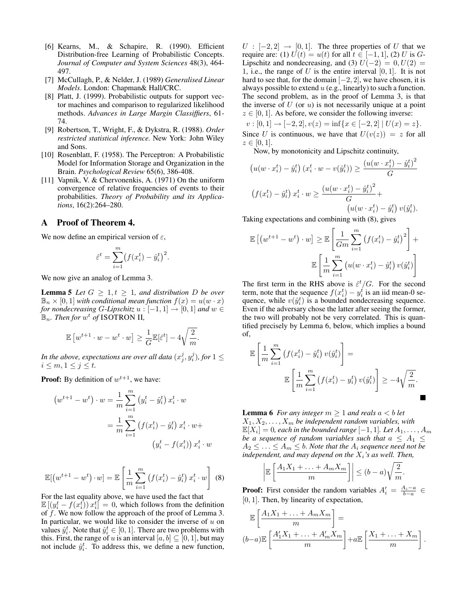- [6] Kearns, M., & Schapire, R. (1990). Efficient Distribution-free Learning of Probabilistic Concepts. *Journal of Computer and System Sciences* 48(3), 464- 497.
- [7] McCullagh, P., & Nelder, J. (1989) *Generalised Linear Models*. London: Chapman& Hall/CRC.
- [8] Platt, J. (1999). Probabilistic outputs for support vector machines and comparison to regularized likelihood methods. *Advances in Large Margin Classiffiers*, 61- 74.
- [9] Robertson, T., Wright, F., & Dykstra, R. (1988). *Order restricted statistical inference.* New York: John Wiley and Sons.
- [10] Rosenblatt, F. (1958). The Perceptron: A Probabilistic Model for Information Storage and Organization in the Brain. *Psychological Review* 65(6), 386-408.
- [11] Vapnik, V. & Chervonenkis, A. (1971) On the uniform convergence of relative frequencies of events to their probabilities. *Theory of Probability and its Applications*, 16(2):264–280.

## A Proof of Theorem 4.

We now define an empirical version of  $\varepsilon$ ,

$$
\hat{\varepsilon}^t = \sum_{i=1}^m (f(x_i^t) - \hat{y}_i^t)^2.
$$

We now give an analog of Lemma 3.

**Lemma 5** *Let*  $G \geq 1, t \geq 1$ *, and distribution D be over*  $\mathbb{B}_n \times [0,1]$  *with conditional mean function*  $f(x) = u(w \cdot x)$ *for nondecreasing G-Lipschitz*  $u : [-1, 1] \rightarrow [0, 1]$  *and*  $w \in$  $\mathbb{B}_n$ *. Then for*  $w^t$  *of* ISOTRON II,

$$
\mathbb{E}\left[w^{t+1}\cdot w - w^t\cdot w\right] \ge \frac{1}{G}\mathbb{E}[\hat{\varepsilon}^t] - 4\sqrt{\frac{2}{m}}.
$$

In the above, expectations are over all data  $(x^j_j, y^j_i)$ , for  $1 \leq$  $i \leq m, 1 \leq j \leq t$ .

**Proof:** By definition of  $w^{t+1}$ , we have:

$$
(w^{t+1} - w^t) \cdot w = \frac{1}{m} \sum_{i=1}^m (y_i^t - \hat{y}_i^t) x_i^t \cdot w
$$

$$
= \frac{1}{m} \sum_{i=1}^m (f(x_i^t) - \hat{y}_i^t) x_i^t \cdot w +
$$

$$
(y_i^t - f(x_i^t)) x_i^t \cdot w
$$

$$
\mathbb{E}[(w^{t+1} - w^t) \cdot w] = \mathbb{E}\left[\frac{1}{m} \sum_{i=1}^m \left(f(x_i^t) - \hat{y}_i^t\right) x_i^t \cdot w\right]
$$
 (8)

For the last equality above, we have used the fact that  $\mathbb{E}\left[\left(y_i^t - f(x_i^t)\right)x_i^t\right] = 0$ , which follows from the definition of  $f$ . We now follow the approach of the proof of Lemma 3. In particular, we would like to consider the inverse of  $u$  on values  $\hat{y}_i^t$ . Note that  $\hat{y}_i^t \in [0, 1]$ . There are two problems with this. First, the range of u is an interval  $[a, b] \subseteq [0, 1]$ , but may not include  $\hat{y}_i^t$ . To address this, we define a new function,  $U : [-2, 2] \rightarrow [0, 1]$ . The three properties of U that we require are: (1)  $U(t) = u(t)$  for all  $t \in [-1, 1]$ , (2) U is G-Lipschitz and nondecreasing, and (3)  $U(-2) = 0, U(2) =$ 1, i.e., the range of U is the entire interval  $[0, 1]$ . It is not hard to see that, for the domain  $[-2, 2]$ , we have chosen, it is always possible to extend  $u$  (e.g., linearly) to such a function. The second problem, as in the proof of Lemma 3, is that the inverse of  $U$  (or  $u$ ) is not necessarily unique at a point  $z \in [0, 1]$ . As before, we consider the following inverse:

 $v : [0, 1] \rightarrow [-2, 2], v(z) = \inf\{x \in [-2, 2] \mid U(x) = z\}.$ Since U is continuous, we have that  $U(v(z)) = z$  for all  $z \in [0, 1].$ 

 $\alpha$ 

Now, by monotonicity and Lipschitz continuity,

$$
(u(w \cdot x_i^t) - \hat{y}_i^t) (x_i^t \cdot w - v(\hat{y}_i^t)) \ge \frac{(u(w \cdot x_i^t) - \hat{y}_i^t)^2}{G}
$$
  

$$
(f(x_i^t) - \hat{y}_i^t) x_i^t \cdot w \ge \frac{(u(w \cdot x_i^t) - \hat{y}_i^t)^2}{G} + (u(w \cdot x_i^t) - \hat{y}_i^t) v(\hat{y}_i^t).
$$

Taking expectations and combining with (8), gives

$$
\mathbb{E}\left[\left(w^{t+1} - w^t\right) \cdot w\right] \ge \mathbb{E}\left[\frac{1}{Gm} \sum_{i=1}^m \left(f(x_i^t) - \hat{y}_i^t\right)^2\right] + \mathbb{E}\left[\frac{1}{m} \sum_{i=1}^m \left(u(w \cdot x_i^t) - \hat{y}_i^t\right) v(\hat{y}_i^t)\right]
$$

The first term in the RHS above is  $\hat{\varepsilon}^t/G$ . For the second term, note that the sequence  $f(x_i^t) - y_i^t$  is an iid mean-0 sequence, while  $v(\hat{y}_i^t)$  is a bounded nondecreasing sequence. Even if the adversary chose the latter after seeing the former, the two will probably not be very correlated. This is quantified precisely by Lemma 6, below, which implies a bound of,

$$
\mathbb{E}\left[\frac{1}{m}\sum_{i=1}^{m}\left(f(x_i^t) - \hat{y}_i^t\right)v(\hat{y}_i^t)\right] =
$$
\n
$$
\mathbb{E}\left[\frac{1}{m}\sum_{i=1}^{m}\left(f(x_i^t) - y_i^t\right)v(\hat{y}_i^t)\right] \ge -4\sqrt{\frac{2}{m}}.
$$

**Lemma 6** *For any integer*  $m \geq 1$  *and reals*  $a < b$  *let*  $X_1, X_2, \ldots, X_m$  be independent random variables, with  $\mathbb{E}[X_i] = 0$ , each in the bounded range  $[-1, 1]$ . Let  $A_1, \ldots, A_m$ *be a sequence of random variables such that*  $a \leq A_1 \leq$  $A_2 \leq \ldots \leq A_m \leq b$ . *Note that the*  $A_i$  *sequence need not be independent, and may depend on the*  $X_i$ *'s as well. Then,* 

$$
\left|\mathbb{E}\left[\frac{A_1X_1+\ldots+A_mX_m}{m}\right]\right| \le (b-a)\sqrt{\frac{2}{m}}.
$$

**Proof:** First consider the random variables  $A'_i = \frac{A_i - a}{b - a} \in$ [0, 1]. Then, by linearity of expectation,

$$
\mathbb{E}\left[\frac{A_1X_1 + \dots + A_mX_m}{m}\right] =
$$
  

$$
(b-a)\mathbb{E}\left[\frac{A'_1X_1 + \dots + A'_mX_m}{m}\right] + a\mathbb{E}\left[\frac{X_1 + \dots + X_m}{m}\right].
$$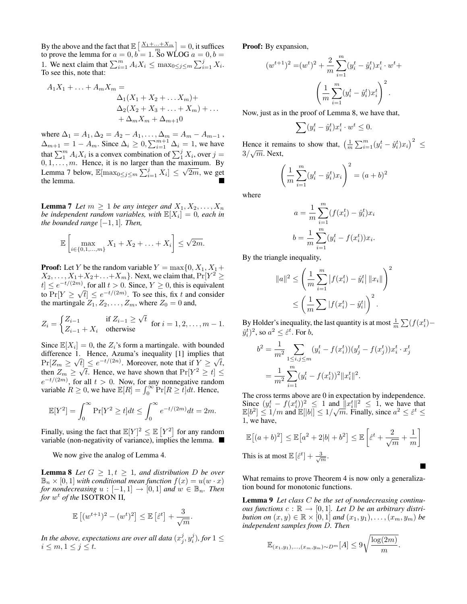By the above and the fact that  $\mathbb{E}\left[\frac{X_1+\dots+X_m}{m}\right] = 0$ , it suffices By the above and the ract that  $\mathbb{E} \left[ \begin{array}{c} m \\ m \end{array} \right] = 0$ , it summers to prove the lemma for  $a = 0, b = 1$ . So WLOG  $a = 0, b = 1$ 1. We next claim that  $\sum_{i=1}^{m} A_i X_i \leq \max_{0 \leq j \leq m} \sum_{i=1}^{j} X_i$ . To see this, note that:

$$
A_1X_1 + ... + A_mX_m =
$$
  
\n
$$
\Delta_1(X_1 + X_2 + ... X_m) +
$$
  
\n
$$
\Delta_2(X_2 + X_3 + ... + X_m) + ...
$$
  
\n
$$
+ \Delta_mX_m + \Delta_{m+1}0
$$

where  $\Delta_1 = A_1, \Delta_2 = A_2 - A_1, \ldots, \Delta_m = A_m - A_{m-1}$ ,  $\Delta_{m+1} = 1 - A_m$ . Since  $\Delta_i \geq 0$ ,  $\sum_{i=1}^{m+1} \Delta_i = 1$ , we have that  $\sum_{1}^{m} A_i X_i$  is a convex combination of  $\sum_{1}^{j} X_i$ , over  $j =$  $0, 1, \ldots, m$ . Hence, it is no larger than the maximum. By Lemma 7 below,  $\mathbb{E}[\max_{0 \le j \le m} \sum_{i=1}^{j} X_i] \le \sqrt{2m}$ , we get the lemma.

**Lemma 7** Let  $m \geq 1$  be any integer and  $X_1, X_2, \ldots, X_n$ *be independent random variables, with*  $\mathbb{E}[X_i] = 0$ , each in *the bounded range*  $[-1, 1]$ *. Then,* 

$$
\mathbb{E}\left[\max_{i\in\{0,1,\ldots,m\}} X_1 + X_2 + \ldots + X_i\right] \leq \sqrt{2m}.
$$

**Proof:** Let Y be the random variable  $Y = \max\{0, X_1, X_1+\}$  $X_2, \ldots, X_1 + X_2 + \ldots + X_m$ . Next, we claim that,  $Pr[Y^2 \geq 1]$  $[t] \leq e^{-t/(2m)}$ , for all  $t > 0$ . Since,  $Y \geq 0$ , this is equivalent to  $Pr[Y \geq \sqrt{t}] \leq e^{-t/(2m)}$ . To see this, fix t and consider the martingale  $Z_1, Z_2, \ldots, Z_m$ , where  $Z_0 = 0$  and,

$$
Z_i = \begin{cases} Z_{i-1} & \text{if } Z_{i-1} \ge \sqrt{t} \\ Z_{i-1} + X_i & \text{otherwise} \end{cases} \text{ for } i = 1, 2, \dots, m-1.
$$

Since  $\mathbb{E}[X_i] = 0$ , the  $Z_i$ 's form a martingale. with bounded difference 1. Hence, Azuma's inequality [1] implies that  $\Pr[Z_m \geq \sqrt{t}] \leq e^{-t/(2n)}$ . Moreover, note that if  $Y \geq \sqrt{t}$ , then  $Z_m \geq \sqrt{t}$ . Hence, we have shown that  $Pr[Y^2 \geq t] \leq$  $e^{-t/(2m)}$ , for all  $t > 0$ . Now, for any nonnegative random variable  $R \ge 0$ , we have  $\mathbb{E}[R] = \int_0^\infty \Pr[R \ge t] dt$ . Hence,

$$
\mathbb{E}[Y^2] = \int_0^\infty \Pr[Y^2 \ge t] dt \le \int_0^\infty e^{-t/(2m)} dt = 2m.
$$

Finally, using the fact that  $\mathbb{E}[Y]^2 \leq \mathbb{E}[Y^2]$  for any random variable (non-negativity of variance), implies the lemma.

We now give the analog of Lemma 4.

**Lemma 8** Let  $G \geq 1, t \geq 1$ , and distribution D be over  $\mathbb{B}_n \times [0,1]$  *with conditional mean function*  $f(x) = u(w \cdot x)$ *for nondecreasing*  $u : [-1,1] \rightarrow [0,1]$  *and*  $w \in \mathbb{B}_n$ *. Then for* w <sup>t</sup> *of the* ISOTRON II*,*

$$
\mathbb{E}\left[(w^{t+1})^2 - (w^t)^2\right] \le \mathbb{E}\left[\hat{\varepsilon}^t\right] + \frac{3}{\sqrt{m}}.
$$

In the above, expectations are over all data  $(x^j_j, y^j_i)$ , for  $1 \leq$  $i \leq m, 1 \leq j \leq t$ .

Proof: By expansion,

$$
(w^{t+1})^2 = (w^t)^2 + \frac{2}{m} \sum_{i=1}^m (y_i^t - \hat{y}_i^t) x_i^t \cdot w^t +
$$

$$
\left(\frac{1}{m} \sum_{i=1}^m (y_i^t - \hat{y}_i^t) x_i^t\right)^2.
$$

Now, just as in the proof of Lemma 8, we have that,

$$
\sum_{i} (y_i^t - \hat{y}_i^t) x_i^t \cdot w^t \le 0.
$$

Hence it remains to show that,  $\left(\frac{1}{m}\sum_{i=1}^{m}(y_i^t - \hat{y}_i^t)x_i\right)^2 \leq$  $3/\sqrt{m}$ . Next,

$$
\left(\frac{1}{m}\sum_{i=1}^{m} (y_i^t - \hat{y}_i^t) x_i\right)^2 = (a+b)^2
$$

where

$$
a = \frac{1}{m} \sum_{i=1}^{m} (f(x_i^t) - \hat{y}_i^t) x_i
$$

$$
b = \frac{1}{m} \sum_{i=1}^{m} (y_i^t - f(x_i^t)) x_i.
$$

By the triangle inequality,

$$
||a||^2 \le \left(\frac{1}{m}\sum_{i=1}^m |f(x_i^t) - \hat{y}_i^t| ||x_i||\right)^2
$$
  

$$
\le \left(\frac{1}{m}\sum |f(x_i^t) - \hat{y}_i^t|\right)^2.
$$

By Holder's inequality, the last quantity is at most  $\frac{1}{m} \sum (f(x_i^t) (\hat{y}_i^t)^2$ , so  $a^2 \leq \hat{\varepsilon}^t$ . For  $b$ ,

$$
b^{2} = \frac{1}{m^{2}} \sum_{1 \leq i,j \leq m} (y_{i}^{t} - f(x_{i}^{t}))(y_{j}^{t} - f(x_{j}^{t}))x_{i}^{t} \cdot x_{j}^{t}
$$

$$
= \frac{1}{m^{2}} \sum_{i=1}^{m} (y_{i}^{t} - f(x_{i}^{t}))^{2} ||x_{i}^{t}||^{2}.
$$

The cross terms above are 0 in expectation by independence. Since  $(y_i^t - f(x_i^t))^2 \leq 1$  and  $||x_i^t||^2 \leq 1$ , we have that Since  $(y_i - f(x_i))$   $\leq 1$  and  $||x_i||^2 \leq 1$ , we have that  $\mathbb{E}[b^2] \leq 1/m$  and  $\mathbb{E}[b||] \leq 1/\sqrt{m}$ . Finally, since  $a^2 \leq \hat{\varepsilon}^t \leq$ 1, we have,

$$
\mathbb{E}[(a+b)^2] \le \mathbb{E}[a^2+2|b|+b^2] \le \mathbb{E}\left[\hat{\varepsilon}^t + \frac{2}{\sqrt{m}} + \frac{1}{m}\right]
$$
  
This is at most  $\mathbb{E}[\hat{\varepsilon}^t] + \frac{3}{\sqrt{m}}$ .

What remains to prove Theorem 4 is now only a generalization bound for monotonic functions.

Lemma 9 *Let class* C *be the set of nondecreasing continuous functions*  $c : \mathbb{R} \to [0,1]$ . Let D be an arbitrary distri*bution on*  $(x, y) \in \mathbb{R} \times [0, 1]$  *and*  $(x_1, y_1), \ldots, (x_m, y_m)$  *be independent samples from* D*. Then*

$$
\mathbb{E}_{(x_1,y_1),...,(x_m,y_m)\sim D^m}[A] \leq 9\sqrt{\frac{\log(2m)}{m}}.
$$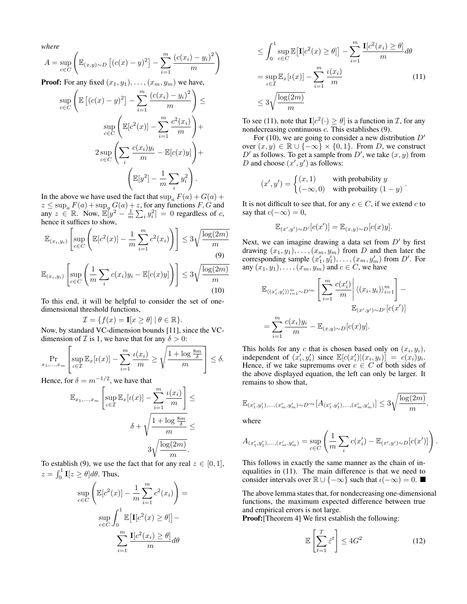*where*

$$
A = \sup_{c \in C} \left( \mathbb{E}_{(x,y)\sim D} \left[ (c(x) - y)^2 \right] - \sum_{i=1}^m \frac{(c(x_i) - y_i)^2}{m} \right)
$$

**Proof:** For any fixed  $(x_1, y_1), \ldots, (x_m, y_m)$  we have,

$$
\sup_{c \in C} \left( \mathbb{E} \left[ (c(x) - y)^2 \right] - \sum_{i=1}^m \frac{(c(x_i) - y_i)^2}{m} \right) \le
$$

$$
\sup_{c \in C} \left( \mathbb{E} [c^2(x)] - \sum_{i=1}^m \frac{c^2(x_i)}{m} \right) +
$$

$$
2 \sup_{c \in C} \left( \sum_i \frac{c(x_i)y_i}{m} - \mathbb{E} [c(x)y] \right) +
$$

$$
\left( \mathbb{E} [y^2] - \frac{1}{m} \sum_i y_i^2 \right).
$$

In the above we have used the fact that  $\sup_a F(a) + G(a) +$  $z \le \sup_a F(a) + \sup_a G(a) + z$ , for any functions F, G and  $\lim_{n \to \infty} z \in \mathbb{R}$ . Now,  $\mathbb{E}[y^2 - \frac{1}{m} \sum_i y_i^2] = 0$  regardless of c, hence it suffices to show,

$$
\mathbb{E}_{(x_i, y_i)} \left[ \sup_{c \in C} \left( \mathbb{E}[c^2(x)] - \frac{1}{m} \sum_{i=1}^m c^2(x_i) \right) \right] \le 3\sqrt{\frac{\log(2m)}{m}}
$$
\n
$$
\mathbb{E}_{(x_i, y_i)} \left[ \sup_{c \in C} \left( \frac{1}{m} \sum_i c(x_i) y_i - \mathbb{E}[c(x)y] \right) \right] \le 3\sqrt{\frac{\log(2m)}{m}}
$$
\n(10)

To this end, it will be helpful to consider the set of onedimensional threshold functions,

$$
\mathcal{I} = \{ f(x) = \mathbf{I}[x \ge \theta] \mid \theta \in \mathbb{R} \}.
$$

Now, by standard VC-dimension bounds [11], since the VCdimension of  $\mathcal I$  is 1, we have that for any  $\delta > 0$ :

$$
\Pr_{x_1,\ldots,x_m} \left[ \sup_{\iota \in \mathcal{I}} \mathbb{E}_x[\iota(x)] - \sum_{i=1}^m \frac{\iota(x_i)}{m} \ge \sqrt{\frac{1 + \log \frac{8m}{\delta}}{m}} \right] \le \delta.
$$

Hence, for  $\delta = m^{-1/2}$ , we have that

$$
\mathbb{E}_{x_1,\dots,x_m} \left[ \sup_{\iota \in \mathcal{I}} \mathbb{E}_x[\iota(x)] - \sum_{i=1}^m \frac{\iota(x_i)}{m} \right] \le
$$

$$
\delta + \sqrt{\frac{1 + \log \frac{8m}{\delta}}{m}} \le
$$

$$
3\sqrt{\frac{\log(2m)}{m}}.
$$

To establish (9), we use the fact that for any real  $z \in [0, 1]$ ,  $z = \int_0^1 \mathbf{I}[z \ge \theta] d\theta$ . Thus,

$$
\sup_{c \in C} \left( \mathbb{E}[c^2(x)] - \frac{1}{m} \sum_{i=1}^m c^2(x_i) \right) =
$$

$$
\sup_{c \in C} \int_0^1 \mathbb{E}[\mathbf{I}[c^2(x) \ge \theta]] -
$$

$$
\sum_{i=1}^m \frac{\mathbf{I}[c^2(x_i) \ge \theta]}{m} d\theta
$$

$$
\leq \int_0^1 \sup_{c \in C} \mathbb{E} [\mathbf{I}[c^2(x) \geq \theta]] - \sum_{i=1}^m \frac{\mathbf{I}[c^2(x_i) \geq \theta]}{m} d\theta
$$

$$
= \sup_{\iota \in \mathcal{I}} \mathbb{E}_x[\iota(x)] - \sum_{i=1}^m \frac{\iota(x_i)}{m}
$$
(11)
$$
\leq 3\sqrt{\frac{\log(2m)}{m}}
$$

To see (11), note that  $I[c^2(\cdot) \ge \theta]$  is a function in  $\mathcal{I}$ , for any nondecreasing continuous c. This establishes (9).

For (10), we are going to consider a new distribution  $D'$ over  $(x, y) \in \mathbb{R} \cup \{-\infty\} \times \{0, 1\}$ . From D, we construct  $D'$  as follows. To get a sample from  $D'$ , we take  $(x, y)$  from D and choose  $(x', y')$  as follows:

$$
(x', y') = \begin{cases} (x, 1) & \text{with probability } y \\ (-\infty, 0) & \text{with probability } (1 - y) \end{cases}.
$$

It is not difficult to see that, for any  $c \in C$ , if we extend c to say that  $c(-\infty) = 0$ ,

$$
\mathbb{E}_{(x',y')\sim D'}[c(x')] = \mathbb{E}_{(x,y)\sim D}[c(x)y].
$$

Next, we can imagine drawing a data set from  $D'$  by first drawing  $(x_1, y_1), \ldots, (x_m, y_m)$  from D and then later the corresponding sample  $(x'_1, y'_1), \ldots, (x_m, y'_m)$  from D'. For any  $(x_1, y_1), \ldots, (x_m, y_m)$  and  $c \in C$ , we have

$$
\mathbb{E}_{\langle (x'_i, y'_i) \rangle_{i=1}^m \sim D'^m} \left[ \sum_{i=1}^m \frac{c(x'_i)}{m} \middle| \langle (x_i, y_i) \rangle_{i=1}^m \right] -
$$
  

$$
= \sum_{i=1}^m \frac{c(x_i) y_i}{m} - \mathbb{E}_{(x, y) \sim D} [c(x) y].
$$

This holds for any c that is chosen based only on  $(x_i, y_i)$ , independent of  $(x'_i, y'_i)$  since  $\mathbb{E}[c(x'_i)|(x_i, y_i)] = c(x_i)y_i$ . Hence, if we take supremums over  $c \in C$  of both sides of the above displayed equation, the left can only be larger. It remains to show that,

$$
\mathbb{E}_{(x'_1, y'_1), \dots, (x'_m, y'_m) \sim D'^m} [A_{(x'_1, y'_1), \dots, (x'_m, y'_m)}] \le 3 \sqrt{\frac{\log(2m)}{m}}.
$$

where

$$
A_{(x'_1, y'_1), \dots, (x'_m, y'_m)} = \sup_{c \in C} \left( \frac{1}{m} \sum_i c(x'_i) - \mathbb{E}_{(x', y') \sim D} [c(x')] \right)
$$

This follows in exactly the same manner as the chain of inequalities in (11). The main difference is that we need to consider intervals over  $\mathbb{R} \cup \{-\infty\}$  such that  $\iota(-\infty) = 0$ .

The above lemma states that, for nondecreasing one-dimensional functions, the maximum expected difference between true and empirical errors is not large.

Proof:[Theorem 4] We first establish the following:

$$
\mathbb{E}\left[\sum_{t=1}^{T} \hat{\varepsilon}^{t}\right] \le 4G^2\tag{12}
$$

.